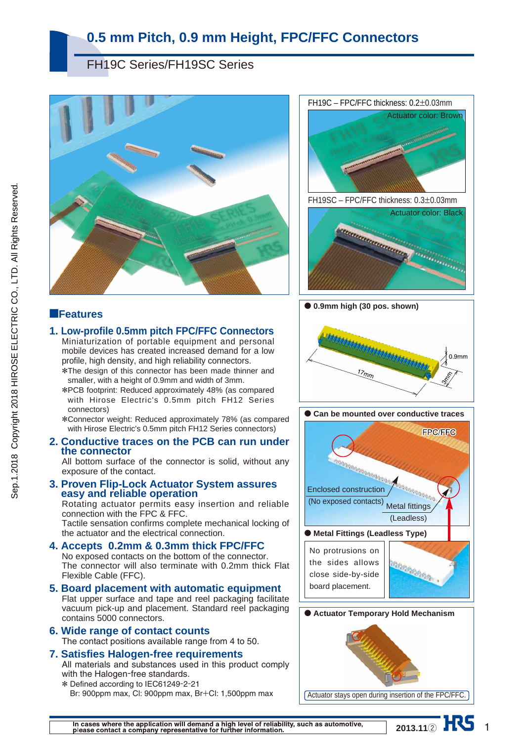## FH19C Series/FH19SC Series



### ■**Features**

### **1. Low-profile 0.5mm pitch FPC/FFC Connectors**

- Miniaturization of portable equipment and personal mobile devices has created increased demand for a low profile, high density, and high reliability connectors. \*The design of this connector has been made thinner and
- smaller, with a height of 0.9mm and width of 3mm.
- \*PCB footprint: Reduced approximately 48% (as compared with Hirose Electric's 0.5mm pitch FH12 Series connectors)
- \*Connector weight: Reduced approximately 78% (as compared with Hirose Electric's 0.5mm pitch FH12 Series connectors)

#### **2. Conductive traces on the PCB can run under the connector**

All bottom surface of the connector is solid, without any exposure of the contact.

# **3. Proven Flip-Lock Actuator System assures easy and reliable operation**

Rotating actuator permits easy insertion and reliable connection with the FPC & FFC.

Tactile sensation confirms complete mechanical locking of the actuator and the electrical connection.

#### **4. Accepts 0.2mm & 0.3mm thick FPC/FFC**  No exposed contacts on the bottom of the connector. The connector will also terminate with 0.2mm thick Flat

Flexible Cable (FFC). **5. Board placement with automatic equipment** 

#### Flat upper surface and tape and reel packaging facilitate vacuum pick-up and placement. Standard reel packaging contains 5000 connectors.

**6. Wide range of contact counts**  The contact positions available range from 4 to 50.

### **7. Satisfies Halogen-free requirements**

All materials and substances used in this product comply with the Halogen-free standards.

\* Defined according to IEC61249-2-21 Br: 900ppm max, Cl: 900ppm max, Br+Cl: 1,500ppm max



● **0.9mm high (30 pos. shown)**







In cases where the application will demand a high level of reliability, such as automotive, please contact a company representative for further information.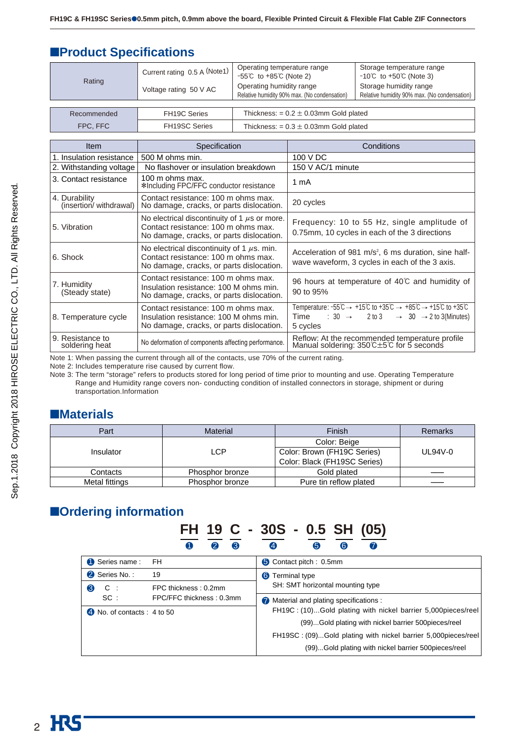## ■**Product Specifications**

| Rating      | Current rating 0.5 A (Note1) | Operating temperature range<br>$-55^{\circ}$ C to $+85^{\circ}$ C (Note 2) | Storage temperature range<br>$-10^{\circ}$ C to $+50^{\circ}$ (Note 3) |  |  |
|-------------|------------------------------|----------------------------------------------------------------------------|------------------------------------------------------------------------|--|--|
|             | Voltage rating 50 V AC       | Operating humidity range<br>Relative humidity 90% max. (No condensation)   | Storage humidity range<br>Relative humidity 90% max. (No condensation) |  |  |
|             |                              |                                                                            |                                                                        |  |  |
| Recommended | <b>FH19C Series</b>          | Thickness: $= 0.2 \pm 0.03$ mm Gold plated                                 |                                                                        |  |  |
| FPC, FFC    | <b>FH19SC Series</b>         | Thickness: = $0.3 \pm 0.03$ mm Gold plated                                 |                                                                        |  |  |

| Item                                    | Specification                                                                                                                        | Conditions                                                                                                                                                                                                                                                                                              |
|-----------------------------------------|--------------------------------------------------------------------------------------------------------------------------------------|---------------------------------------------------------------------------------------------------------------------------------------------------------------------------------------------------------------------------------------------------------------------------------------------------------|
| 1. Insulation resistance                | 500 M ohms min.                                                                                                                      | 100 V DC                                                                                                                                                                                                                                                                                                |
| 2. Withstanding voltage                 | No flashover or insulation breakdown                                                                                                 | 150 V AC/1 minute                                                                                                                                                                                                                                                                                       |
| 3. Contact resistance                   | 100 m ohms max.<br>*Including FPC/FFC conductor resistance                                                                           | 1 mA                                                                                                                                                                                                                                                                                                    |
| 4. Durability<br>(insertion/withdrawal) | Contact resistance: 100 m ohms max.<br>No damage, cracks, or parts dislocation.                                                      | 20 cycles                                                                                                                                                                                                                                                                                               |
| 5. Vibration                            | No electrical discontinuity of 1 $\mu$ s or more.<br>Contact resistance: 100 m ohms max.<br>No damage, cracks, or parts dislocation. | Frequency: 10 to 55 Hz, single amplitude of<br>0.75mm, 10 cycles in each of the 3 directions                                                                                                                                                                                                            |
| 6. Shock                                | No electrical discontinuity of 1 $\mu$ s. min.<br>Contact resistance: 100 m ohms max.<br>No damage, cracks, or parts dislocation.    | Acceleration of 981 m/s <sup>2</sup> , 6 ms duration, sine half-<br>wave waveform, 3 cycles in each of the 3 axis.                                                                                                                                                                                      |
| 7. Humidity<br>(Steady state)           | Contact resistance: 100 m ohms max.<br>Insulation resistance: 100 M ohms min.<br>No damage, cracks, or parts dislocation.            | 96 hours at temperature of 40°C and humidity of<br>90 to 95%                                                                                                                                                                                                                                            |
| 8. Temperature cycle                    | Contact resistance: 100 m ohms max.<br>Insulation resistance: 100 M ohms min.<br>No damage, cracks, or parts dislocation.            | Temperature: $-55^{\circ}\text{C} \rightarrow +15^{\circ}\text{C}$ to $+35^{\circ}\text{C} \rightarrow +85^{\circ}\text{C} \rightarrow +15^{\circ}\text{C}$ to $+35^{\circ}\text{C}$<br>Time : $30 \rightarrow 2 \text{ to } 3 \rightarrow 30 \rightarrow 2 \text{ to } 3 \text{(Minutes)}$<br>5 cycles |
| 9. Resistance to<br>soldering heat      | No deformation of components affecting performance.                                                                                  | Reflow: At the recommended temperature profile<br>Manual soldering: 350℃±5℃ for 5 seconds                                                                                                                                                                                                               |

Note 1: When passing the current through all of the contacts, use 70% of the current rating.

Note 2: Includes temperature rise caused by current flow.

Note 3: The term "storage" refers to products stored for long period of time prior to mounting and use. Operating Temperature Range and Humidity range covers non- conducting condition of installed connectors in storage, shipment or during transportation.Information

## ■**Materials**

| Part           | <b>Material</b> | Finish                                                                      | Remarks |
|----------------|-----------------|-----------------------------------------------------------------------------|---------|
| Insulator      | LCP             | Color: Beige<br>Color: Brown (FH19C Series)<br>Color: Black (FH19SC Series) | UL94V-0 |
| Contacts       | Phosphor bronze | Gold plated                                                                 |         |
| Metal fittings | Phosphor bronze | Pure tin reflow plated                                                      |         |

## ■**Ordering information**

## **FH 19 C - 30S - 0.5 SH (05)** 1 2 3 4 5 6 7

| Series name:                        | <b>FH</b>                | Contact pitch: 0.5mm                                          |
|-------------------------------------|--------------------------|---------------------------------------------------------------|
| 2 Series No.:                       | 19                       | <b>6</b> Terminal type                                        |
| 6<br>$C$ :                          | FPC thickness: 0.2mm     | SH: SMT horizontal mounting type                              |
| SC:                                 | FPC/FFC thickness: 0.3mm | Material and plating specifications :                         |
| $\bullet$ No. of contacts : 4 to 50 |                          | FH19C: (10)Gold plating with nickel barrier 5,000pieces/reel  |
|                                     |                          | (99)Gold plating with nickel barrier 500pieces/reel           |
|                                     |                          | FH19SC: (09)Gold plating with nickel barrier 5,000pieces/reel |
|                                     |                          | (99)Gold plating with nickel barrier 500pieces/reel           |
|                                     |                          |                                                               |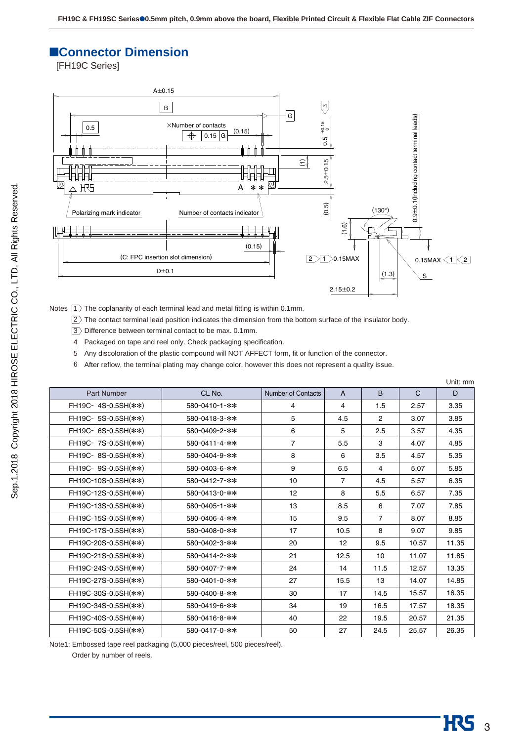### ■**Connector Dimension**

[FH19C Series]



Notes  $|1\rangle$  The coplanarity of each terminal lead and metal fitting is within 0.1mm.

 $2$ ) The contact terminal lead position indicates the dimension from the bottom surface of the insulator body.

- $3$ ) Difference between terminal contact to be max. 0.1mm.
- 4 Packaged on tape and reel only. Check packaging specification.

5 Any discoloration of the plastic compound will NOT AFFECT form, fit or function of the connector.

6 After reflow, the terminal plating may change color, however this does not represent a quality issue.

|                     |               |                           |                |                |              | Unit: mm |
|---------------------|---------------|---------------------------|----------------|----------------|--------------|----------|
| <b>Part Number</b>  | CL No.        | <b>Number of Contacts</b> | $\overline{A}$ | B.             | $\mathsf{C}$ | D        |
| FH19C- 4S-0.5SH(**) | 580-0410-1-** | 4                         | 4              | 1.5            | 2.57         | 3.35     |
| FH19C- 5S-0.5SH(**) | 580-0418-3-** | 5                         | 4.5            | $\overline{2}$ | 3.07         | 3.85     |
| FH19C- 6S-0.5SH(**) | 580-0409-2-** | 6                         | 5              | 2.5            | 3.57         | 4.35     |
| FH19C-7S-0.5SH(**)  | 580-0411-4-** | $\overline{7}$            | 5.5            | 3              | 4.07         | 4.85     |
| FH19C-8S-0.5SH(**)  | 580-0404-9-** | 8                         | 6              | 3.5            | 4.57         | 5.35     |
| FH19C- 9S-0.5SH(**) | 580-0403-6-** | 9                         | 6.5            | 4              | 5.07         | 5.85     |
| FH19C-10S-0.5SH(**) | 580-0412-7-** | 10                        | $\overline{7}$ | 4.5            | 5.57         | 6.35     |
| FH19C-12S-0.5SH(**) | 580-0413-0-** | 12                        | 8              | 5.5            | 6.57         | 7.35     |
| FH19C-13S-0.5SH(**) | 580-0405-1-** | 13                        | 8.5            | 6              | 7.07         | 7.85     |
| FH19C-15S-0.5SH(**) | 580-0406-4-** | 15                        | 9.5            | $\overline{7}$ | 8.07         | 8.85     |
| FH19C-17S-0.5SH(**) | 580-0408-0-** | 17                        | 10.5           | 8              | 9.07         | 9.85     |
| FH19C-20S-0.5SH(**) | 580-0402-3-** | 20                        | 12             | 9.5            | 10.57        | 11.35    |
| FH19C-21S-0.5SH(**) | 580-0414-2-** | 21                        | 12.5           | 10             | 11.07        | 11.85    |
| FH19C-24S-0.5SH(**) | 580-0407-7-** | 24                        | 14             | 11.5           | 12.57        | 13.35    |
| FH19C-27S-0.5SH(**) | 580-0401-0-** | 27                        | 15.5           | 13             | 14.07        | 14.85    |
| FH19C-30S-0.5SH(**) | 580-0400-8-** | 30                        | 17             | 14.5           | 15.57        | 16.35    |
| FH19C-34S-0.5SH(**) | 580-0419-6-** | 34                        | 19             | 16.5           | 17.57        | 18.35    |
| FH19C-40S-0.5SH(**) | 580-0416-8-** | 40                        | 22             | 19.5           | 20.57        | 21.35    |
| FH19C-50S-0.5SH(**) | 580-0417-0-** | 50                        | 27             | 24.5           | 25.57        | 26.35    |

Note1: Embossed tape reel packaging (5,000 pieces/reel, 500 pieces/reel).

Order by number of reels.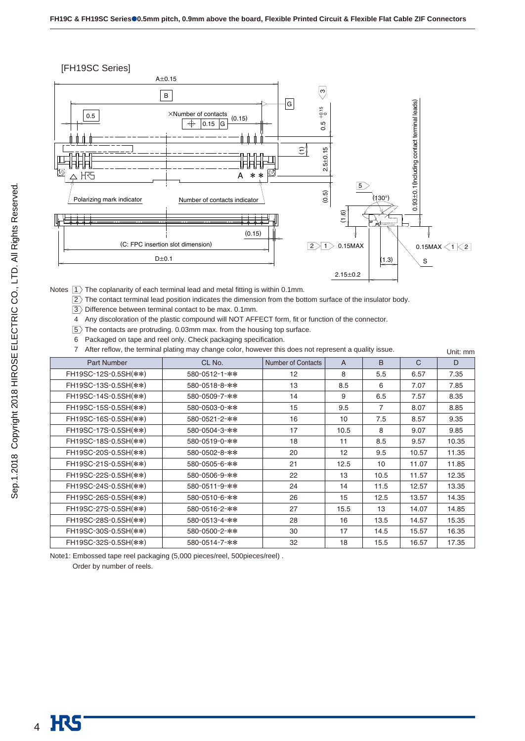



Notes  $|1\rangle$  The coplanarity of each terminal lead and metal fitting is within 0.1mm.

- $2$ ) The contact terminal lead position indicates the dimension from the bottom surface of the insulator body.
- $3$   $>$  Difference between terminal contact to be max. 0.1mm.
- 4 Any discoloration of the plastic compound will NOT AFFECT form, fit or function of the connector.
- $5$ ) The contacts are protruding. 0.03mm max. from the housing top surface.
- Packaged on tape and reel only. Check packaging specification. 6

7 After reflow, the terminal plating may change color, however this does not represent a quality issue. Unit: mm

|                      |               |                           |                |      |              | UIIIL. IIIIII |
|----------------------|---------------|---------------------------|----------------|------|--------------|---------------|
| <b>Part Number</b>   | CL No.        | <b>Number of Contacts</b> | $\overline{A}$ | B    | $\mathsf{C}$ | D             |
| FH19SC-12S-0.5SH(**) | 580-0512-1-** | $12 \overline{ }$         | 8              | 5.5  | 6.57         | 7.35          |
| FH19SC-13S-0.5SH(**) | 580-0518-8-** | 13                        | 8.5            | 6    | 7.07         | 7.85          |
| FH19SC-14S-0.5SH(**) | 580-0509-7-** | 14                        | 9              | 6.5  | 7.57         | 8.35          |
| FH19SC-15S-0.5SH(**) | 580-0503-0-** | 15                        | 9.5            | 7    | 8.07         | 8.85          |
| FH19SC-16S-0.5SH(**) | 580-0521-2-** | 16                        | 10             | 7.5  | 8.57         | 9.35          |
| FH19SC-17S-0.5SH(**) | 580-0504-3-** | 17                        | 10.5           | 8    | 9.07         | 9.85          |
| FH19SC-18S-0.5SH(**) | 580-0519-0-** | 18                        | 11             | 8.5  | 9.57         | 10.35         |
| FH19SC-20S-0.5SH(**) | 580-0502-8-** | 20                        | 12             | 9.5  | 10.57        | 11.35         |
| FH19SC-21S-0.5SH(**) | 580-0505-6-** | 21                        | 12.5           | 10   | 11.07        | 11.85         |
| FH19SC-22S-0.5SH(**) | 580-0506-9-** | 22                        | 13             | 10.5 | 11.57        | 12.35         |
| FH19SC-24S-0.5SH(**) | 580-0511-9-** | 24                        | 14             | 11.5 | 12.57        | 13.35         |
| FH19SC-26S-0.5SH(**) | 580-0510-6-** | 26                        | 15             | 12.5 | 13.57        | 14.35         |
| FH19SC-27S-0.5SH(**) | 580-0516-2-** | 27                        | 15.5           | 13   | 14.07        | 14.85         |
| FH19SC-28S-0.5SH(**) | 580-0513-4-** | 28                        | 16             | 13.5 | 14.57        | 15.35         |
| FH19SC-30S-0.5SH(**) | 580-0500-2-** | 30                        | 17             | 14.5 | 15.57        | 16.35         |
| FH19SC-32S-0.5SH(**) | 580-0514-7-** | 32                        | 18             | 15.5 | 16.57        | 17.35         |

Note1: Embossed tape reel packaging (5,000 pieces/reel, 500pieces/reel) .

Order by number of reels.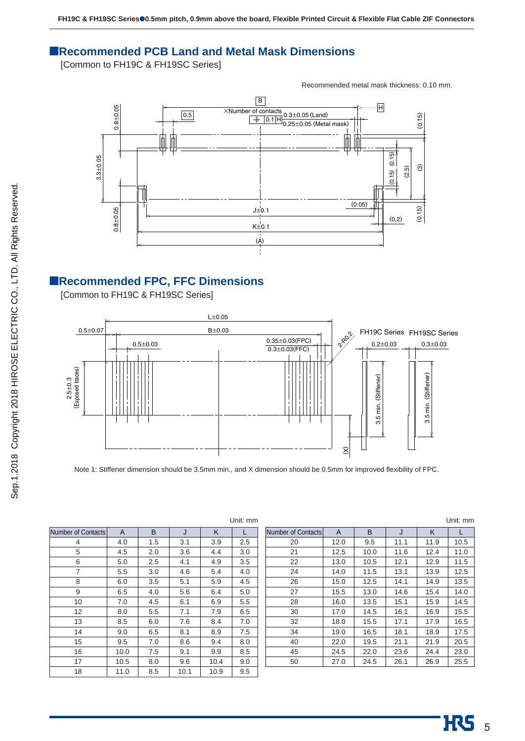### ■**Recommended PCB Land and Metal Mask Dimensions**

[Common to FH19C & FH19SC Series]

Recommended metal mask thickness: 0.10 mm.



### ■**Recommended FPC, FFC Dimensions**

[Common to FH19C & FH19SC Series]



Note 1: Stiffener dimension should be 3.5mm min., and X dimension should be 0.5mm for improved flexibility of FPC.

|                    |      |     |      |      | Unit: mm |
|--------------------|------|-----|------|------|----------|
| Number of Contacts | A    | B   | J    | K    | L        |
| 4                  | 4.0  | 1.5 | 3.1  | 3.9  | 2.5      |
| 5                  | 4.5  | 2.0 | 3.6  | 4.4  | 3.0      |
| 6                  | 5.0  | 2.5 | 4.1  | 4.9  | 3.5      |
| 7                  | 5.5  | 3.0 | 4.6  | 5.4  | 4.0      |
| 8                  | 6.0  | 3.5 | 5.1  | 5.9  | 4.5      |
| 9                  | 6.5  | 4.0 | 5.6  | 6.4  | 5.0      |
| 10                 | 7.0  | 4.5 | 6.1  | 6.9  | 5.5      |
| 12                 | 8.0  | 5.5 | 7.1  | 7.9  | 6.5      |
| 13                 | 8.5  | 6.0 | 7.6  | 8.4  | 7.0      |
| 14                 | 9.0  | 6.5 | 8.1  | 8.9  | 7.5      |
| 15                 | 9.5  | 7.0 | 8.6  | 9.4  | 8.0      |
| 16                 | 10.0 | 7.5 | 9.1  | 9.9  | 8.5      |
| 17                 | 10.5 | 8.0 | 9.6  | 10.4 | 9.0      |
| 18                 | 11.0 | 8.5 | 10.1 | 10.9 | 9.5      |

|                    |              |      |      |      | Unit: mm |
|--------------------|--------------|------|------|------|----------|
| Number of Contacts | $\mathsf{A}$ | B    | J    | K    | L        |
| 20                 | 12.0         | 9.5  | 11.1 | 11.9 | 10.5     |
| 21                 | 12.5         | 10.0 | 11.6 | 12.4 | 11.0     |
| 22                 | 13.0         | 10.5 | 12.1 | 12.9 | 11.5     |
| 24                 | 14.0         | 11.5 | 13.1 | 13.9 | 12.5     |
| 26                 | 15.0         | 12.5 | 14.1 | 14.9 | 13.5     |
| 27                 | 15.5         | 13.0 | 14.6 | 15.4 | 14.0     |
| 28                 | 16.0         | 13.5 | 15.1 | 15.9 | 14.5     |
| 30                 | 17.0         | 14.5 | 16.1 | 16.9 | 15.5     |
| 32                 | 18.0         | 15.5 | 17.1 | 17.9 | 16.5     |
| 34                 | 19.0         | 16.5 | 18.1 | 18.9 | 17.5     |
| 40                 | 22.0         | 19.5 | 21.1 | 21.9 | 20.5     |
| 45                 | 24.5         | 22.0 | 23.6 | 24.4 | 23.0     |
| 50                 | 27.0         | 24.5 | 26.1 | 26.9 | 25.5     |
|                    |              |      |      |      |          |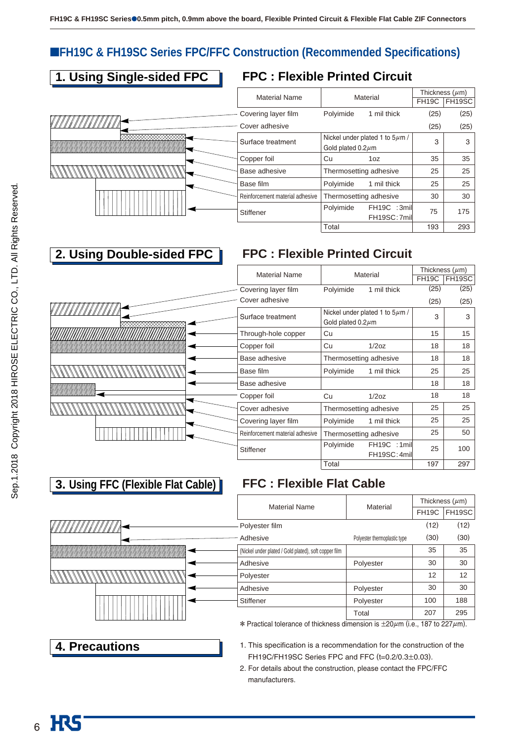## ■**FH19C & FH19SC Series FPC/FFC Construction (Recommended Specifications)**

## **1. Using Single-sided FPC**



**2. Using Double-sided FPC** 

## **FPC : Flexible Printed Circuit**

| <b>Material Name</b>            |                         | Material                            | Thickness $(\mu m)$ |              |  |
|---------------------------------|-------------------------|-------------------------------------|---------------------|--------------|--|
|                                 |                         |                                     |                     | FH19C FH19SC |  |
| Covering layer film             | Polyimide               | 1 mil thick                         | (25)                | (25)         |  |
| – Cover adhesive                |                         |                                     | (25)                | (25)         |  |
| Surface treatment               |                         | Nickel under plated 1 to $5\mu$ m / | 3                   | 3            |  |
|                                 | Gold plated $0.2 \mu$ m |                                     |                     |              |  |
| Copper foil                     | Cu                      | 1oz                                 | 35                  | 35           |  |
| Base adhesive                   | Thermosetting adhesive  |                                     | 25                  | 25           |  |
| Base film                       | Polyimide               | 1 mil thick                         | 25                  | 25           |  |
| Reinforcement material adhesive | Thermosetting adhesive  |                                     | 30                  | 30           |  |
| Stiffener                       | Polyimide               | FH19C :3mil                         | 75                  | 175          |  |
|                                 |                         | FH19SC: 7mil                        |                     |              |  |
|                                 | Total                   |                                     | 193                 | 293          |  |

## **FPC : Flexible Printed Circuit**

|                       |                                 | Material                            |                    | Thickness $(\mu m)$ |
|-----------------------|---------------------------------|-------------------------------------|--------------------|---------------------|
|                       | <b>Material Name</b>            |                                     | FH <sub>19</sub> C | FH19SC              |
|                       | Covering layer film             | Polyimide<br>1 mil thick            | (25)               | (25)                |
|                       | Cover adhesive                  |                                     | (25)               | (25)                |
| <i>ATATIONIA IN R</i> | Surface treatment               | Nickel under plated 1 to $5\mu$ m / | 3                  | 3                   |
|                       |                                 | Gold plated $0.2 \mu m$             |                    |                     |
|                       | Through-hole copper             | Cu                                  | 15                 | 15                  |
|                       | Copper foil                     | Cu<br>1/2oz                         | 18                 | 18                  |
|                       | Base adhesive                   | Thermosetting adhesive              | 18                 | 18                  |
|                       | Base film                       | Polyimide<br>1 mil thick            | 25                 | 25                  |
|                       | Base adhesive                   |                                     | 18                 | 18                  |
|                       | Copper foil                     | 1/2oz<br>Cu                         | 18                 | 18                  |
|                       | Cover adhesive                  | Thermosetting adhesive              | 25                 | 25                  |
|                       | Covering layer film             | Polyimide<br>1 mil thick            | 25                 | 25                  |
|                       | Reinforcement material adhesive | Thermosetting adhesive              | 25                 | 50                  |
|                       | <b>Stiffener</b>                | Polyimide<br>FH19C :1mil            | 25                 | 100                 |
|                       |                                 | FH19SC: 4mil                        |                    |                     |
|                       |                                 | Total                               | 197                | 297                 |

## **3. Using FFC (Flexible Flat Cable)**

## **FFC : Flexible Flat Cable**

|                | <b>Material Name</b>                                                                       | Material                     |                    | Thickness $(\mu m)$ |
|----------------|--------------------------------------------------------------------------------------------|------------------------------|--------------------|---------------------|
|                |                                                                                            |                              | FH <sub>19</sub> C | FH19SC              |
| VIIIIIIIIIIIIA | Polyester film                                                                             |                              | (12)               | (12)                |
|                | Adhesive                                                                                   | Polyester thermoplastic type | (30)               | (30)                |
|                | (Nickel under plated / Gold plated), soft copper film                                      |                              | 35                 | 35                  |
|                | Adhesive                                                                                   | Polyester                    | 30                 | 30                  |
|                | Polyester                                                                                  |                              | 12                 | 12                  |
|                | Adhesive                                                                                   | Polyester                    | 30                 | 30                  |
|                | Stiffener                                                                                  | Polyester                    | 100                | 188                 |
|                |                                                                                            | Total                        | 207                | 295                 |
|                | * Practical tolerance of thickness dimension is $\pm 20 \mu$ m (i.e., 187 to 227 $\mu$ m). |                              |                    |                     |

**4. Precautions**

- 1. This specification is a recommendation for the construction of the FH19C/FH19SC Series FPC and FFC (t=0.2/0.3±0.03).
- 2. For details about the construction, please contact the FPC/FFC manufacturers.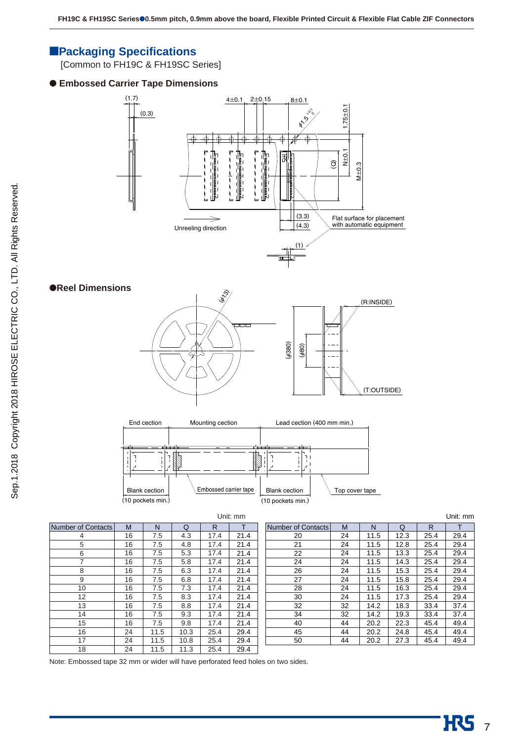### ■**Packaging Specifications**

[Common to FH19C & FH19SC Series]

### ● **Embossed Carrier Tape Dimensions**



#### ●**Reel Dimensions**





|                    |    |      |      |      | Unit: mm |                    |    |      |      |      | Unit: mm |
|--------------------|----|------|------|------|----------|--------------------|----|------|------|------|----------|
| Number of Contacts | M  | N    | Q    | R    |          | Number of Contacts | M  | N    | Q    | R    |          |
| 4                  | 16 | 7.5  | 4.3  | 17.4 | 21.4     | 20                 | 24 | 11.5 | 12.3 | 25.4 | 29.4     |
| 5                  | 16 | 7.5  | 4.8  | 17.4 | 21.4     | 21                 | 24 | 11.5 | 12.8 | 25.4 | 29.4     |
| 6                  | 16 | 7.5  | 5.3  | 17.4 | 21.4     | 22                 | 24 | 11.5 | 13.3 | 25.4 | 29.4     |
| 7                  | 16 | 7.5  | 5.8  | 17.4 | 21.4     | 24                 | 24 | 11.5 | 14.3 | 25.4 | 29.4     |
| 8                  | 16 | 7.5  | 6.3  | 17.4 | 21.4     | 26                 | 24 | 11.5 | 15.3 | 25.4 | 29.4     |
| 9                  | 16 | 7.5  | 6.8  | 17.4 | 21.4     | 27                 | 24 | 11.5 | 15.8 | 25.4 | 29.4     |
| 10                 | 16 | 7.5  | 7.3  | 17.4 | 21.4     | 28                 | 24 | 11.5 | 16.3 | 25.4 | 29.4     |
| 12                 | 16 | 7.5  | 8.3  | 17.4 | 21.4     | 30                 | 24 | 11.5 | 17.3 | 25.4 | 29.4     |
| 13                 | 16 | 7.5  | 8.8  | 17.4 | 21.4     | 32                 | 32 | 14.2 | 18.3 | 33.4 | 37.4     |
| 14                 | 16 | 7.5  | 9.3  | 17.4 | 21.4     | 34                 | 32 | 14.2 | 19.3 | 33.4 | 37.4     |
| 15                 | 16 | 7.5  | 9.8  | 17.4 | 21.4     | 40                 | 44 | 20.2 | 22.3 | 45.4 | 49.4     |
| 16                 | 24 | 11.5 | 10.3 | 25.4 | 29.4     | 45                 | 44 | 20.2 | 24.8 | 45.4 | 49.4     |
| 17                 | 24 | 11.5 | 10.8 | 25.4 | 29.4     | 50                 | 44 | 20.2 | 27.3 | 45.4 | 49.4     |
| 18                 | 24 | 11.5 | 11.3 | 25.4 | 29.4     |                    |    |      |      |      |          |

Note: Embossed tape 32 mm or wider will have perforated feed holes on two sides.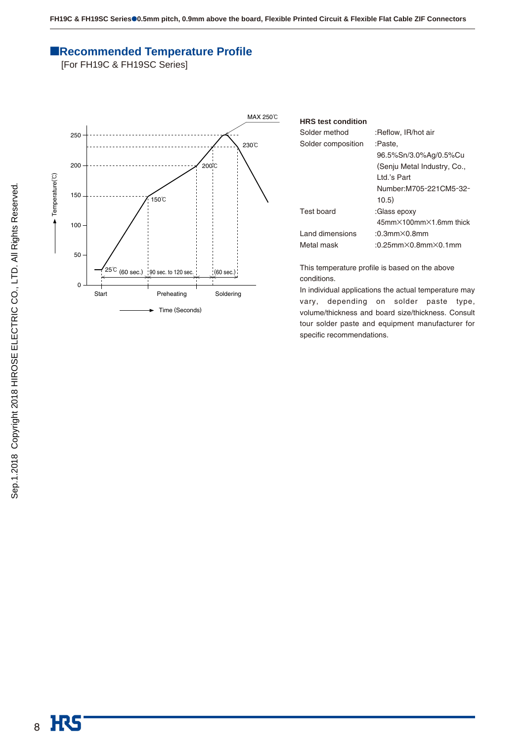### ■**Recommended Temperature Profile**

[For FH19C & FH19SC Series]



| <b>HRS</b> test condition |                                             |
|---------------------------|---------------------------------------------|
| Solder method             | :Reflow, IR/hot air                         |
| Solder composition        | :Paste.                                     |
|                           | 96.5%Sn/3.0%Ag/0.5%Cu                       |
|                           | (Senju Metal Industry, Co.,                 |
|                           | I td.'s Part                                |
|                           | Number: M705-221CM5-32-                     |
|                           | 10.5)                                       |
| Test board                | :Glass epoxy                                |
|                           | $45$ mm $\times$ 100mm $\times$ 1.6mm thick |
| Land dimensions           | $:0.3$ mm $\times$ 0.8mm                    |
| Metal mask                | $:0.25$ mm $\times$ 0.8mm $\times$ 0.1mm    |

This temperature profile is based on the above conditions.

In individual applications the actual temperature may vary, depending on solder paste type, volume/thickness and board size/thickness. Consult tour solder paste and equipment manufacturer for specific recommendations.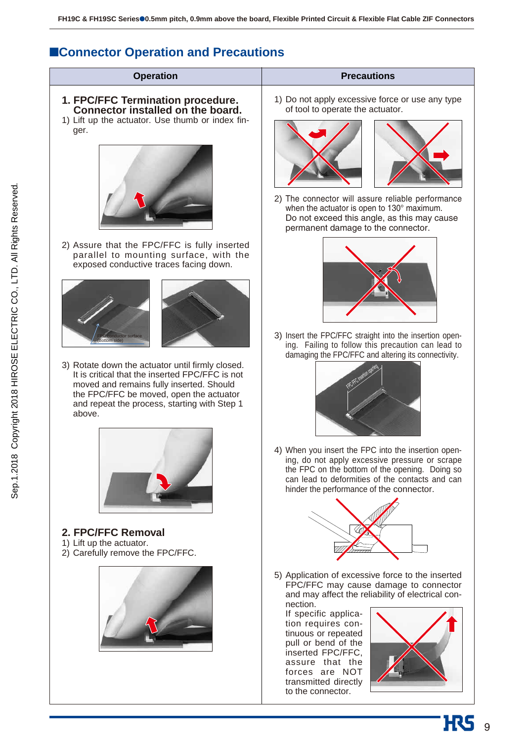## ■**Connector Operation and Precautions**

| <b>Operation</b><br>1. FPC/FFC Termination procedure.<br>Connector installed on the board.<br>1) Lift up the actuator. Use thumb or index fin-<br>ger.                                     | <b>Precautions</b><br>1) Do not apply excessive force or use any type<br>of tool to operate the actuator.                                                                                                                                                                                                                                                      |
|--------------------------------------------------------------------------------------------------------------------------------------------------------------------------------------------|----------------------------------------------------------------------------------------------------------------------------------------------------------------------------------------------------------------------------------------------------------------------------------------------------------------------------------------------------------------|
| 2) Assure that the FPC/FFC is fully inserted<br>parallel to mounting surface, with the<br>exposed conductive traces facing down.                                                           | 2) The connector will assure reliable performance<br>when the actuator is open to 130° maximum.<br>Do not exceed this angle, as this may cause<br>permanent damage to the connector.                                                                                                                                                                           |
| 3) Rotate down the actuator until firmly closed.<br>It is critical that the inserted FPC/FFC is not<br>moved and remains fully inserted. Should<br>the FPC/FFC be moved, open the actuator | 3) Insert the FPC/FFC straight into the insertion open-<br>ing. Failing to follow this precaution can lead to<br>damaging the FPC/FFC and altering its connectivity.                                                                                                                                                                                           |
| and repeat the process, starting with Step 1<br>above.                                                                                                                                     | 4) When you insert the FPC into the insertion open-<br>ing, do not apply excessive pressure or scrape<br>the FPC on the bottom of the opening. Doing so<br>can lead to deformities of the contacts and can<br>hinder the performance of the connector.                                                                                                         |
| 2. FPC/FFC Removal<br>1) Lift up the actuator.<br>2) Carefully remove the FPC/FFC.                                                                                                         |                                                                                                                                                                                                                                                                                                                                                                |
|                                                                                                                                                                                            | 5) Application of excessive force to the inserted<br>FPC/FFC may cause damage to connector<br>and may affect the reliability of electrical con-<br>nection.<br>If specific applica-<br>tion requires con-<br>tinuous or repeated<br>pull or bend of the<br>inserted FPC/FFC,<br>assure that the<br>forces are NOT<br>transmitted directly<br>to the connector. |

**H**S<sub>9</sub>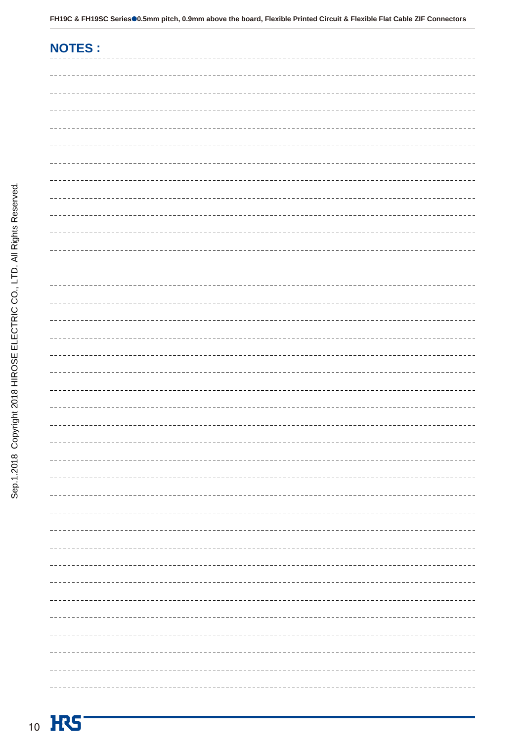| <b>NOTES:</b> |
|---------------|
|               |
|               |
|               |
|               |
|               |
|               |
|               |
|               |
|               |
|               |
|               |
|               |
|               |
|               |
|               |
|               |
|               |
|               |
|               |
|               |
|               |
|               |
|               |
|               |
|               |
|               |
|               |
|               |
|               |
|               |
|               |
|               |
|               |
|               |
|               |
|               |
|               |
|               |
|               |

. . . . . . . . .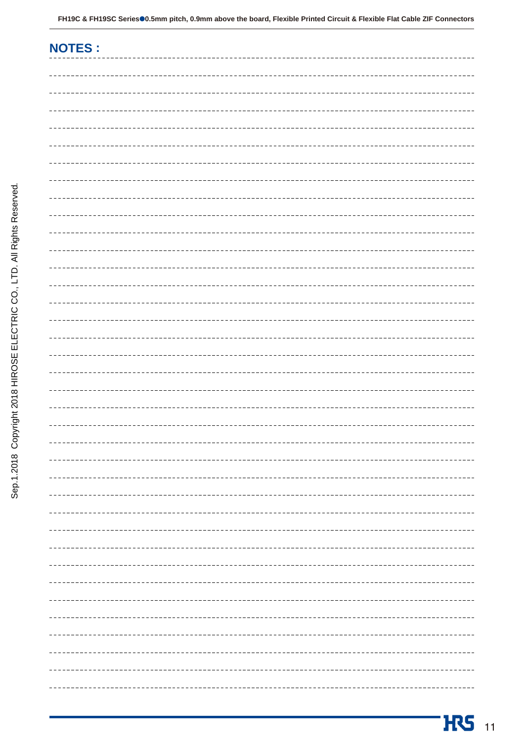| <b>NOTES:</b> |
|---------------|
|               |
|               |
|               |
|               |
|               |
|               |
|               |
|               |
|               |
|               |
|               |
|               |
|               |
|               |
|               |
|               |
|               |
|               |
|               |
|               |
|               |
|               |
|               |
|               |
|               |
|               |
|               |
|               |
|               |
|               |
|               |
|               |
|               |
|               |
|               |